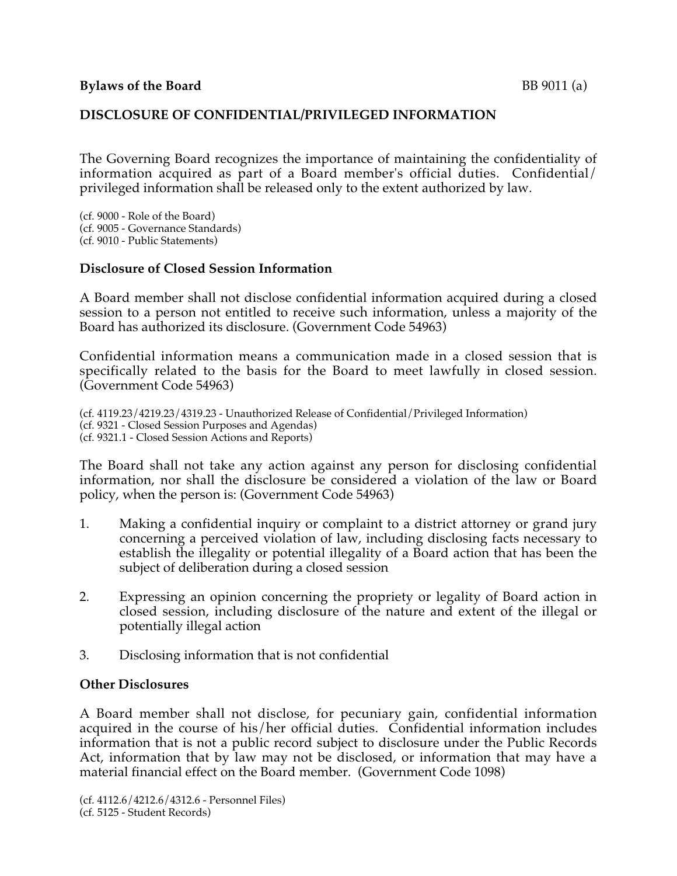## **DISCLOSURE OF CONFIDENTIAL/PRIVILEGED INFORMATION**

The Governing Board recognizes the importance of maintaining the confidentiality of information acquired as part of a Board member's official duties. Confidential/ privileged information shall be released only to the extent authorized by law.

(cf. 9000 - Role of the Board) (cf. 9005 - Governance Standards) (cf. 9010 - Public Statements)

## **Disclosure of Closed Session Information**

A Board member shall not disclose confidential information acquired during a closed session to a person not entitled to receive such information, unless a majority of the Board has authorized its disclosure. (Government Code 54963)

Confidential information means a communication made in a closed session that is specifically related to the basis for the Board to meet lawfully in closed session. (Government Code 54963)

(cf. 4119.23/4219.23/4319.23 - Unauthorized Release of Confidential/Privileged Information) (cf. 9321 - Closed Session Purposes and Agendas) (cf. 9321.1 - Closed Session Actions and Reports)

The Board shall not take any action against any person for disclosing confidential information, nor shall the disclosure be considered a violation of the law or Board policy, when the person is: (Government Code 54963)

- 1. Making a confidential inquiry or complaint to a district attorney or grand jury concerning a perceived violation of law, including disclosing facts necessary to establish the illegality or potential illegality of a Board action that has been the subject of deliberation during a closed session
- 2. Expressing an opinion concerning the propriety or legality of Board action in closed session, including disclosure of the nature and extent of the illegal or potentially illegal action
- 3. Disclosing information that is not confidential

## **Other Disclosures**

A Board member shall not disclose, for pecuniary gain, confidential information acquired in the course of his/her official duties. Confidential information includes information that is not a public record subject to disclosure under the Public Records Act, information that by law may not be disclosed, or information that may have a material financial effect on the Board member. (Government Code 1098)

(cf. 4112.6/4212.6/4312.6 - Personnel Files) (cf. 5125 - Student Records)